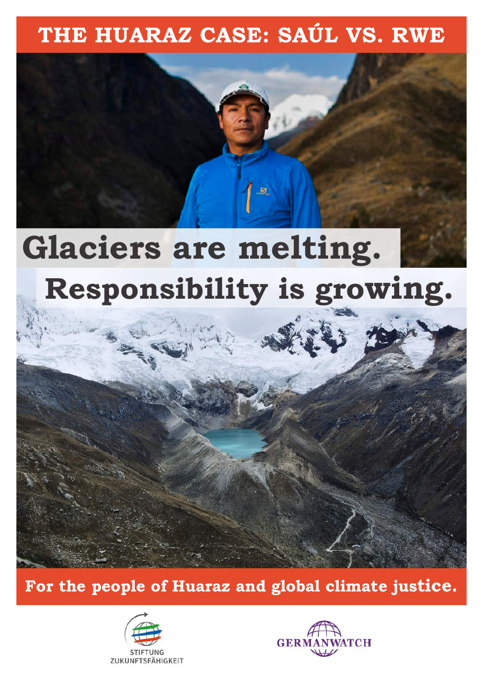# **THE HUARAZ CASE: SAÚL VS. RWE**

# **Glaciers are melting. Responsibility is growing.**

<u>\_g</u>



**For the people of Huaraz and global climate justice.**



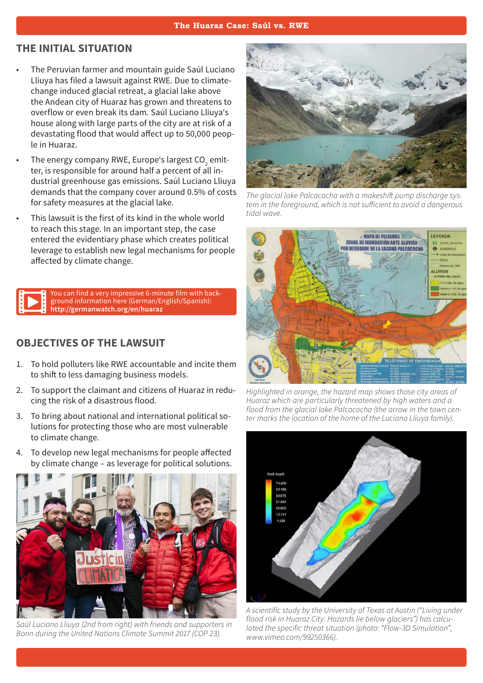#### **The Huaraz Case: Saúl vs. RWE**

#### **THE INITIAL SITUATION**

- The Peruvian farmer and mountain guide Saúl Luciano Lliuya has filed a lawsuit against RWE. Due to climatechange induced glacial retreat, a glacial lake above the Andean city of Huaraz has grown and threatens to overflow or even break its dam. Saúl Luciano Lliuya's house along with large parts of the city are at risk of a devastating flood that would affect up to 50,000 people in Huaraz.
- The energy company RWE, Europe's largest CO $_2$  emitter, is responsible for around half a percent of all industrial greenhouse gas emissions. Saúl Luciano Lliuya demands that the company cover around 0.5% of costs for safety measures at the glacial lake.
- This lawsuit is the first of its kind in the whole world to reach this stage. In an important step, the case entered the evidentiary phase which creates political leverage to establish new legal mechanisms for people affected by climate change.

You can find a very impressive 6-minute film with background information here (German/English/Spanish): **http://germanwatch.org/en/huaraz**

#### **OBJECTIVES OF THE LAWSUIT**

- 1. To hold polluters like RWE accountable and incite them to shift to less damaging business models.
- 2. To support the claimant and citizens of Huaraz in reducing the risk of a disastrous flood.
- 3. To bring about national and international political solutions for protecting those who are most vulnerable to climate change.
- 4. To develop new legal mechanisms for people affected by climate change – as leverage for political solutions.



*Saúl Luciano Lliuya (2nd from right) with friends and supporters in Bonn during the United Nations Climate Summit 2017 (COP 23).*



*The glacial lake Palcacocha with a makeshift pump discharge system in the foreground, which is not sufficient to avoid a dangerous tidal wave.*



*Highlighted in orange, the hazard map shows those city areas of Huaraz which are particularly threatened by high waters and a flood from the glacial lake Palcacocha (the arrow in the town center marks the location of the home of the Luciano Lliuya family).*



*A scientific study by the University of Texas at Austin ("Living under flood risk in Huaraz City: Hazards lie below glaciers") has calculated the specific threat situation (photo: "Flow-3D Simulation", www.vimeo.com/99250366).*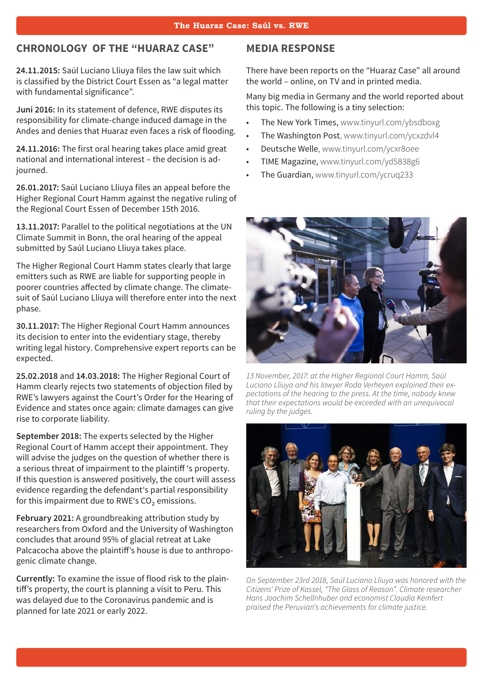#### **CHRONOLOGY OF THE "HUARAZ CASE"**

**24.11.2015:** Saúl Luciano Lliuya files the law suit which is classified by the District Court Essen as "a legal matter with fundamental significance".

**Juni 2016:** In its statement of defence, RWE disputes its responsibility for climate-change induced damage in the Andes and denies that Huaraz even faces a risk of flooding.

**24.11.2016:** The first oral hearing takes place amid great national and international interest – the decision is adjourned.

**26.01.2017:** Saúl Luciano Lliuya files an appeal before the Higher Regional Court Hamm against the negative ruling of the Regional Court Essen of December 15th 2016.

13.11.2017: Parallel to the political negotiations at the UN Climate Summit in Bonn, the oral hearing of the appeal submitted by Saúl Luciano Lliuya takes place.

The Higher Regional Court Hamm states clearly that large emitters such as RWE are liable for supporting people in poorer countries affected by climate change. The climatesuit of Saúl Luciano Lliuya will therefore enter into the next phase.

**30.11.2017:** The Higher Regional Court Hamm announces its decision to enter into the evidentiary stage, thereby writing legal history. Comprehensive expert reports can be expected.

**25.02.2018** and **14.03.2018:** The Higher Regional Court of Hamm clearly rejects two statements of objection filed by RWE's lawyers against the Court's Order for the Hearing of Evidence and states once again: climate damages can give rise to corporate liability.

**September 2018:** The experts selected by the Higher Regional Court of Hamm accept their appointment. They will advise the judges on the question of whether there is a serious threat of impairment to the plaintiff 's property. If this question is answered positively, the court will assess evidence regarding the defendant's partial responsibility for this impairment due to RWE's CO<sub>2</sub> emissions.

**February 2021:** A groundbreaking attribution study by researchers from Oxford and the University of Washington concludes that around 95% of glacial retreat at Lake Palcacocha above the plaintiff's house is due to anthropogenic climate change.

**Currently:** To examine the issue of flood risk to the plaintiff's property, the court is planning a visit to Peru. This was delayed due to the Coronavirus pandemic and is planned for late 2021 or early 2022.

#### **MEDIA RESPONSE**

There have been reports on the "Huaraz Case" all around the world – online, on TV and in printed media.

Many big media in Germany and the world reported about this topic. The following is a tiny selection:

- The New York Times, www.tinyurl.com/ybsdboxg
- The Washington Post, www.tinyurl.com/ycxzdvl4
- Deutsche Welle, www.tinyurl.com/ycxr8oee
- TIME Magazine, www.tinyurl.com/yd5838g6
- The Guardian, www.tinyurl.com/ycruq233



*13 November, 2017: at the Higher Regional Court Hamm, Saúl Luciano Lliuya and his lawyer Roda Verheyen explained their expectations of the hearing to the press. At the time, nobody knew that their expectations would be exceeded with an unequivocal ruling by the judges.*



*On September 23rd 2018, Saúl Luciano Lliuya was honored with the Citizens' Prize of Kassel, "The Glass of Reason". Climate researcher Hans Joachim Schellnhuber and economist Claudia Kemfert praised the Peruvian's achievements for climate justice.*